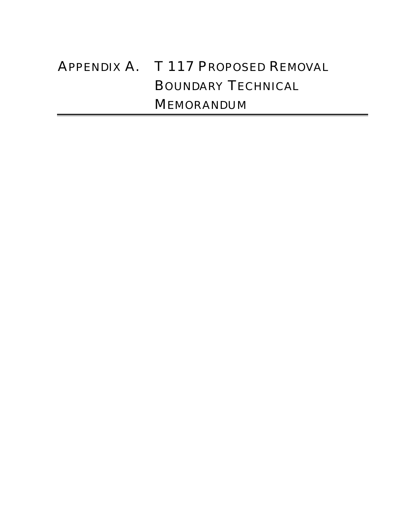# APPENDIX A. T 117 PROPOSED REMOVAL BOUNDARY TECHNICAL MEMORANDUM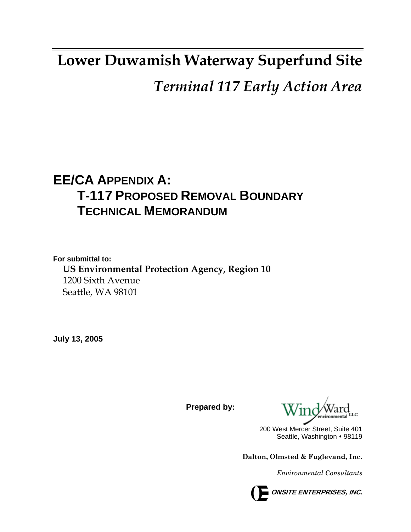## **Lower Duwamish Waterway Superfund Site**

## *Terminal 117 Early Action Area*

## **EE/CA APPENDIX A: T-117 PROPOSED REMOVAL BOUNDARY TECHNICAL MEMORANDUM**

**For submittal to: US Environmental Protection Agency, Region 10**  1200 Sixth Avenue Seattle, WA 98101

**July 13, 2005** 

**Prepared by:** 

200 West Mercer Street, Suite 401 Seattle, Washington • 98119

**Dalton, Olmsted & Fuglevand, Inc.** 

*Environmental Consultants*

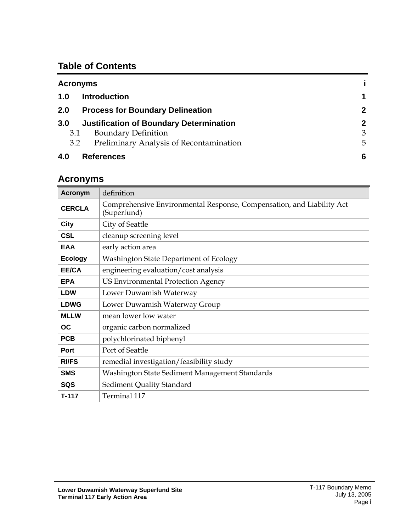### **Table of Contents**

| <b>Acronyms</b>                                       |              |
|-------------------------------------------------------|--------------|
| <b>Introduction</b><br>1.0                            | 1            |
| <b>Process for Boundary Delineation</b><br>2.0        | $\mathbf{2}$ |
| <b>Justification of Boundary Determination</b><br>3.0 | $\mathbf{2}$ |
| <b>Boundary Definition</b><br>3.1                     | 3            |
| Preliminary Analysis of Recontamination<br>3.2        | 5            |
| 4.0<br><b>References</b>                              | 6            |

## <span id="page-2-0"></span>**Acronyms**

| <b>Acronym</b> | definition                                                                           |
|----------------|--------------------------------------------------------------------------------------|
| <b>CERCLA</b>  | Comprehensive Environmental Response, Compensation, and Liability Act<br>(Superfund) |
| City           | City of Seattle                                                                      |
| <b>CSL</b>     | cleanup screening level                                                              |
| <b>EAA</b>     | early action area                                                                    |
| <b>Ecology</b> | Washington State Department of Ecology                                               |
| EE/CA          | engineering evaluation/cost analysis                                                 |
| <b>EPA</b>     | <b>US Environmental Protection Agency</b>                                            |
| <b>LDW</b>     | Lower Duwamish Waterway                                                              |
| <b>LDWG</b>    | Lower Duwamish Waterway Group                                                        |
| <b>MLLW</b>    | mean lower low water                                                                 |
| <b>OC</b>      | organic carbon normalized                                                            |
| <b>PCB</b>     | polychlorinated biphenyl                                                             |
| Port           | Port of Seattle                                                                      |
| <b>RI/FS</b>   | remedial investigation/feasibility study                                             |
| <b>SMS</b>     | Washington State Sediment Management Standards                                       |
| <b>SQS</b>     | Sediment Quality Standard                                                            |
| T-117          | Terminal 117                                                                         |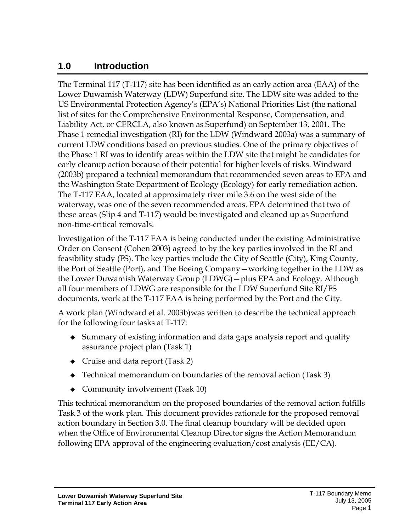### <span id="page-3-0"></span>**1.0 Introduction**

The Terminal 117 (T-117) site has been identified as an early action area (EAA) of the Lower Duwamish Waterway (LDW) Superfund site. The LDW site was added to the US Environmental Protection Agency's (EPA's) National Priorities List (the national list of sites for the Comprehensive Environmental Response, Compensation, and Liability Act, or CERCLA, also known as Superfund) on September 13, 2001. The Phase 1 remedial investigation (RI) for the LDW (Windward 2003a) was a summary of current LDW conditions based on previous studies. One of the primary objectives of the Phase 1 RI was to identify areas within the LDW site that might be candidates for early cleanup action because of their potential for higher levels of risks. Windward (2003b) prepared a technical memorandum that recommended seven areas to EPA and the Washington State Department of Ecology (Ecology) for early remediation action. The T-117 EAA, located at approximately river mile 3.6 on the west side of the waterway, was one of the seven recommended areas. EPA determined that two of these areas (Slip 4 and T-117) would be investigated and cleaned up as Superfund non-time-critical removals.

Investigation of the T-117 EAA is being conducted under the existing Administrative Order on Consent (Cohen 2003) agreed to by the key parties involved in the RI and feasibility study (FS). The key parties include the City of Seattle (City), King County, the Port of Seattle (Port), and The Boeing Company—working together in the LDW as the Lower Duwamish Waterway Group (LDWG)—plus EPA and Ecology. Although all four members of LDWG are responsible for the LDW Superfund Site RI/FS documents, work at the T-117 EAA is being performed by the Port and the City.

A work plan (Windward et al. 2003b)was written to describe the technical approach for the following four tasks at T-117:

- Summary of existing information and data gaps analysis report and quality assurance project plan (Task 1)
- Cruise and data report (Task 2)
- ◆ Technical memorandum on boundaries of the removal action (Task 3)
- Community involvement (Task 10)

This technical memorandum on the proposed boundaries of the removal action fulfills Task 3 of the work plan. This document provides rationale for the proposed removal action boundary in Section 3.0. The final cleanup boundary will be decided upon when the Office of Environmental Cleanup Director signs the Action Memorandum following EPA approval of the engineering evaluation/cost analysis (EE/CA).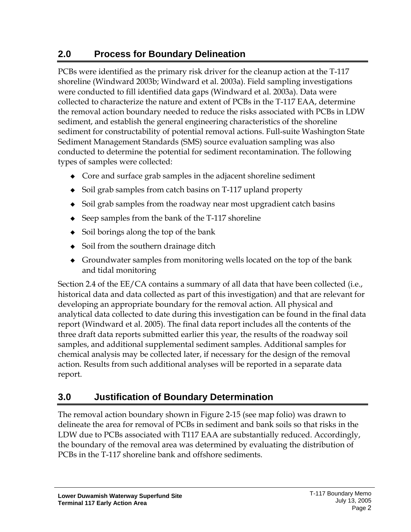## <span id="page-4-0"></span>**2.0 Process for Boundary Delineation**

PCBs were identified as the primary risk driver for the cleanup action at the T-117 shoreline (Windward 2003b; Windward et al. 2003a). Field sampling investigations were conducted to fill identified data gaps (Windward et al. 2003a). Data were collected to characterize the nature and extent of PCBs in the T-117 EAA, determine the removal action boundary needed to reduce the risks associated with PCBs in LDW sediment, and establish the general engineering characteristics of the shoreline sediment for constructability of potential removal actions. Full-suite Washington State Sediment Management Standards (SMS) source evaluation sampling was also conducted to determine the potential for sediment recontamination. The following types of samples were collected:

- Core and surface grab samples in the adjacent shoreline sediment
- Soil grab samples from catch basins on T-117 upland property
- Soil grab samples from the roadway near most upgradient catch basins
- $\triangle$  Seep samples from the bank of the T-117 shoreline
- Soil borings along the top of the bank
- $\bullet$  Soil from the southern drainage ditch
- Groundwater samples from monitoring wells located on the top of the bank and tidal monitoring

Section 2.4 of the EE/CA contains a summary of all data that have been collected (i.e., historical data and data collected as part of this investigation) and that are relevant for developing an appropriate boundary for the removal action. All physical and analytical data collected to date during this investigation can be found in the final data report (Windward et al. 2005). The final data report includes all the contents of the three draft data reports submitted earlier this year, the results of the roadway soil samples, and additional supplemental sediment samples. Additional samples for chemical analysis may be collected later, if necessary for the design of the removal action. Results from such additional analyses will be reported in a separate data report.

## <span id="page-4-1"></span>**3.0 Justification of Boundary Determination**

The removal action boundary shown in Figure 2-15 (see map folio) was drawn to delineate the area for removal of PCBs in sediment and bank soils so that risks in the LDW due to PCBs associated with T117 EAA are substantially reduced. Accordingly, the boundary of the removal area was determined by evaluating the distribution of PCBs in the T-117 shoreline bank and offshore sediments.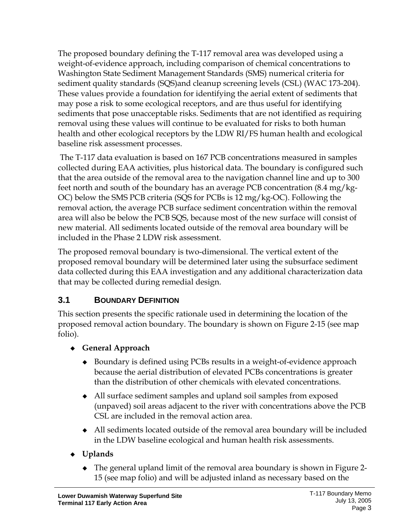The proposed boundary defining the T-117 removal area was developed using a weight-of-evidence approach, including comparison of chemical concentrations to Washington State Sediment Management Standards (SMS) numerical criteria for sediment quality standards (SQS)and cleanup screening levels (CSL) (WAC 173-204). These values provide a foundation for identifying the aerial extent of sediments that may pose a risk to some ecological receptors, and are thus useful for identifying sediments that pose unacceptable risks. Sediments that are not identified as requiring removal using these values will continue to be evaluated for risks to both human health and other ecological receptors by the LDW RI/FS human health and ecological baseline risk assessment processes.

 The T-117 data evaluation is based on 167 PCB concentrations measured in samples collected during EAA activities, plus historical data. The boundary is configured such that the area outside of the removal area to the navigation channel line and up to 300 feet north and south of the boundary has an average PCB concentration (8.4 mg/kg-OC) below the SMS PCB criteria (SQS for PCBs is 12 mg/kg-OC). Following the removal action, the average PCB surface sediment concentration within the removal area will also be below the PCB SQS, because most of the new surface will consist of new material. All sediments located outside of the removal area boundary will be included in the Phase 2 LDW risk assessment.

The proposed removal boundary is two-dimensional. The vertical extent of the proposed removal boundary will be determined later using the subsurface sediment data collected during this EAA investigation and any additional characterization data that may be collected during remedial design.

### <span id="page-5-0"></span>**3.1 BOUNDARY DEFINITION**

This section presents the specific rationale used in determining the location of the proposed removal action boundary. The boundary is shown on Figure 2-15 (see map folio).

### **General Approach**

- ◆ Boundary is defined using PCBs results in a weight-of-evidence approach because the aerial distribution of elevated PCBs concentrations is greater than the distribution of other chemicals with elevated concentrations.
- All surface sediment samples and upland soil samples from exposed (unpaved) soil areas adjacent to the river with concentrations above the PCB CSL are included in the removal action area.
- All sediments located outside of the removal area boundary will be included in the LDW baseline ecological and human health risk assessments.
- **Uplands** 
	- The general upland limit of the removal area boundary is shown in Figure 2- 15 (see map folio) and will be adjusted inland as necessary based on the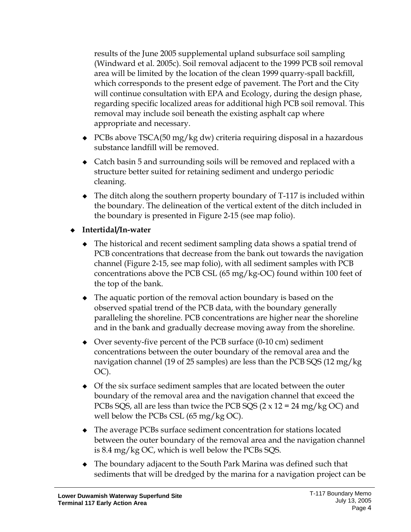results of the June 2005 supplemental upland subsurface soil sampling (Windward et al. 2005c). Soil removal adjacent to the 1999 PCB soil removal area will be limited by the location of the clean 1999 quarry-spall backfill, which corresponds to the present edge of pavement. The Port and the City will continue consultation with EPA and Ecology, during the design phase, regarding specific localized areas for additional high PCB soil removal. This removal may include soil beneath the existing asphalt cap where appropriate and necessary.

- $\triangle$  PCBs above TSCA(50 mg/kg dw) criteria requiring disposal in a hazardous substance landfill will be removed.
- Catch basin 5 and surrounding soils will be removed and replaced with a structure better suited for retaining sediment and undergo periodic cleaning.
- The ditch along the southern property boundary of T-117 is included within the boundary. The delineation of the vertical extent of the ditch included in the boundary is presented in Figure 2-15 (see map folio).
- **Intertidal/In-water** 
	- The historical and recent sediment sampling data shows a spatial trend of PCB concentrations that decrease from the bank out towards the navigation channel (Figure 2-15, see map folio), with all sediment samples with PCB concentrations above the PCB CSL (65 mg/kg-OC) found within 100 feet of the top of the bank.
	- The aquatic portion of the removal action boundary is based on the observed spatial trend of the PCB data, with the boundary generally paralleling the shoreline. PCB concentrations are higher near the shoreline and in the bank and gradually decrease moving away from the shoreline.
	- Over seventy-five percent of the PCB surface (0-10 cm) sediment concentrations between the outer boundary of the removal area and the navigation channel (19 of 25 samples) are less than the PCB SQS (12 mg/kg OC).
	- Of the six surface sediment samples that are located between the outer boundary of the removal area and the navigation channel that exceed the PCBs SQS, all are less than twice the PCB SQS  $(2 \times 12 = 24 \text{ mg/kg OC})$  and well below the PCBs CSL (65 mg/kg OC).
	- The average PCBs surface sediment concentration for stations located between the outer boundary of the removal area and the navigation channel is 8.4 mg/kg OC, which is well below the PCBs SQS.
	- The boundary adjacent to the South Park Marina was defined such that sediments that will be dredged by the marina for a navigation project can be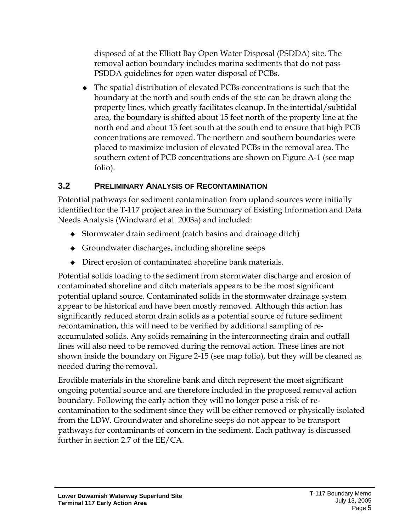disposed of at the Elliott Bay Open Water Disposal (PSDDA) site. The removal action boundary includes marina sediments that do not pass PSDDA guidelines for open water disposal of PCBs.

 The spatial distribution of elevated PCBs concentrations is such that the boundary at the north and south ends of the site can be drawn along the property lines, which greatly facilitates cleanup. In the intertidal/subtidal area, the boundary is shifted about 15 feet north of the property line at the north end and about 15 feet south at the south end to ensure that high PCB concentrations are removed. The northern and southern boundaries were placed to maximize inclusion of elevated PCBs in the removal area. The southern extent of PCB concentrations are shown on Figure A-1 (see map folio).

#### <span id="page-7-0"></span>**3.2 PRELIMINARY ANALYSIS OF RECONTAMINATION**

Potential pathways for sediment contamination from upland sources were initially identified for the T-117 project area in the Summary of Existing Information and Data Needs Analysis (Windward et al. 2003a) and included:

- Stormwater drain sediment (catch basins and drainage ditch)
- Groundwater discharges, including shoreline seeps
- Direct erosion of contaminated shoreline bank materials.

Potential solids loading to the sediment from stormwater discharge and erosion of contaminated shoreline and ditch materials appears to be the most significant potential upland source. Contaminated solids in the stormwater drainage system appear to be historical and have been mostly removed. Although this action has significantly reduced storm drain solids as a potential source of future sediment recontamination, this will need to be verified by additional sampling of reaccumulated solids. Any solids remaining in the interconnecting drain and outfall lines will also need to be removed during the removal action. These lines are not shown inside the boundary on Figure 2-15 (see map folio), but they will be cleaned as needed during the removal.

Erodible materials in the shoreline bank and ditch represent the most significant ongoing potential source and are therefore included in the proposed removal action boundary. Following the early action they will no longer pose a risk of recontamination to the sediment since they will be either removed or physically isolated from the LDW. Groundwater and shoreline seeps do not appear to be transport pathways for contaminants of concern in the sediment. Each pathway is discussed further in section 2.7 of the EE/CA.